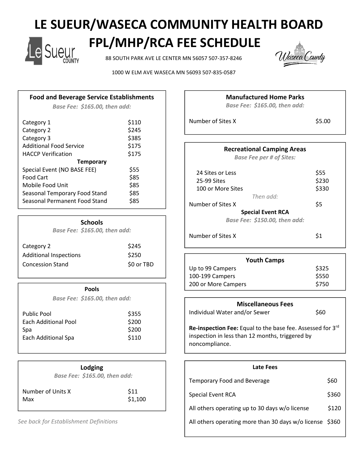# **LE SUEUR/WASECA COMMUNITY HEALTH BOARD FPL/MHP/RCA FEE SCHEDULE**



88 SOUTH PARK AVE LE CENTER MN 56057 507-357-8246



1000 W ELM AVE WASECA MN 56093 507-835-0587

| <b>Food and Beverage Service Establishments</b> |       |
|-------------------------------------------------|-------|
| Base Fee: \$165.00, then add:                   |       |
| Category 1                                      | \$110 |
| Category 2                                      | \$245 |
| Category 3                                      | \$385 |
| <b>Additional Food Service</b>                  | \$175 |
| <b>HACCP Verification</b>                       | \$175 |
|                                                 |       |

|                               | ---  |
|-------------------------------|------|
| <b>Temporary</b>              |      |
| Special Event (NO BASE FEE)   | \$55 |
| Food Cart                     | \$85 |
| Mobile Food Unit              | \$85 |
| Seasonal Temporary Food Stand | \$85 |
| Seasonal Permanent Food Stand | \$85 |

# **Schools**

*Base Fee: \$165.00, then add:* 

| Category 2                    | \$245      |
|-------------------------------|------------|
| <b>Additional Inspections</b> | \$250      |
| <b>Concession Stand</b>       | \$0 or TBD |

| <b>Pools</b>                                                                    |                                  |
|---------------------------------------------------------------------------------|----------------------------------|
| Base Fee: \$165.00, then add:                                                   |                                  |
| <b>Public Pool</b><br>Each Additional Pool<br>Spa<br><b>Each Additional Spa</b> | \$355<br>\$200<br>\$200<br>\$110 |
|                                                                                 |                                  |

| Lodging<br>Base Fee: \$165.00, then add: |         |
|------------------------------------------|---------|
| Number of Units X                        | \$11    |
| Max                                      | \$1,100 |

**See back for Establishment Definitions** 

**Manufactured Home Parks** 

*Base Fee: \$165.00, then add:* 

| Number of Sites X | \$5.00 |
|-------------------|--------|
|-------------------|--------|

# **Recreational Camping Areas**

*Base Fee per # of Sites:* 

| 24 Sites or Less<br>25-99 Sites<br>100 or More Sites | \$55<br>\$230<br>\$330 |
|------------------------------------------------------|------------------------|
|                                                      |                        |
| Then add:                                            |                        |
| Number of Sites X                                    | \$5                    |
| <b>Special Event RCA</b>                             |                        |
| Base Fee: \$150.00, then add:                        |                        |
| Number of Sites X                                    |                        |

| <b>Youth Camps</b>  |       |
|---------------------|-------|
| Up to 99 Campers    | \$325 |
| 100-199 Campers     | \$550 |
| 200 or More Campers | \$750 |

| <b>Miscellaneous Fees</b>     |      |  |
|-------------------------------|------|--|
| Individual Water and/or Sewer | \$60 |  |
|                               |      |  |

**Re-inspection Fee:** Equal to the base fee. Assessed for 3rd inspection in less than 12 months, triggered by noncompliance.

# **Late Fees**

| Temporary Food and Beverage                              | \$60  |
|----------------------------------------------------------|-------|
| Special Event RCA                                        | \$360 |
| All others operating up to 30 days w/o license           | \$120 |
| All others operating more than 30 days w/o license \$360 |       |